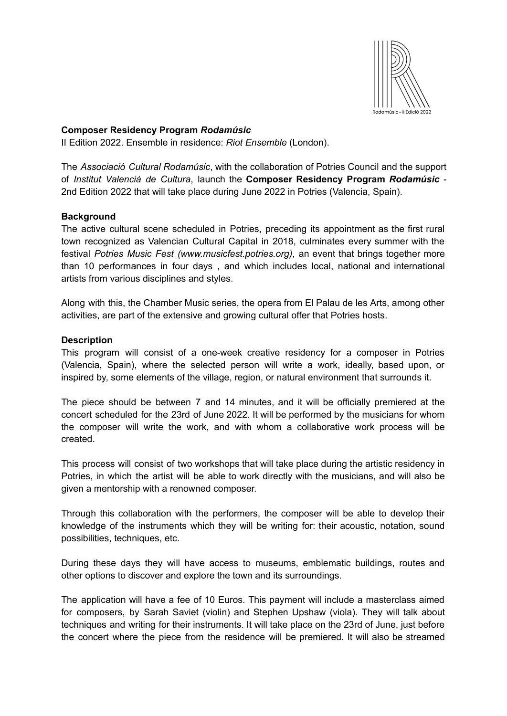

# **Composer Residency Program** *Rodamúsic*

II Edition 2022. Ensemble in residence: *Riot Ensemble* (London).

The *Associació Cultural Rodamúsic*, with the collaboration of Potries Council and the support of *Institut Valencià de Cultura*, launch the **Composer Residency Program** *Rodamúsic -* 2nd Edition 2022 that will take place during June 2022 in Potries (Valencia, Spain).

# **Background**

The active cultural scene scheduled in Potries, preceding its appointment as the first rural town recognized as Valencian Cultural Capital in 2018, culminates every summer with the festival *Potries Music Fest (www.musicfest.potries.org)*, an event that brings together more than 10 performances in four days , and which includes local, national and international artists from various disciplines and styles.

Along with this, the Chamber Music series, the opera from El Palau de les Arts, among other activities, are part of the extensive and growing cultural offer that Potries hosts.

# **Description**

This program will consist of a one-week creative residency for a composer in Potries (Valencia, Spain), where the selected person will write a work, ideally, based upon, or inspired by, some elements of the village, region, or natural environment that surrounds it.

The piece should be between 7 and 14 minutes, and it will be officially premiered at the concert scheduled for the 23rd of June 2022. It will be performed by the musicians for whom the composer will write the work, and with whom a collaborative work process will be created.

This process will consist of two workshops that will take place during the artistic residency in Potries, in which the artist will be able to work directly with the musicians, and will also be given a mentorship with a renowned composer.

Through this collaboration with the performers, the composer will be able to develop their knowledge of the instruments which they will be writing for: their acoustic, notation, sound possibilities, techniques, etc.

During these days they will have access to museums, emblematic buildings, routes and other options to discover and explore the town and its surroundings.

The application will have a fee of 10 Euros. This payment will include a masterclass aimed for composers, by Sarah Saviet (violin) and Stephen Upshaw (viola). They will talk about techniques and writing for their instruments. It will take place on the 23rd of June, just before the concert where the piece from the residence will be premiered. It will also be streamed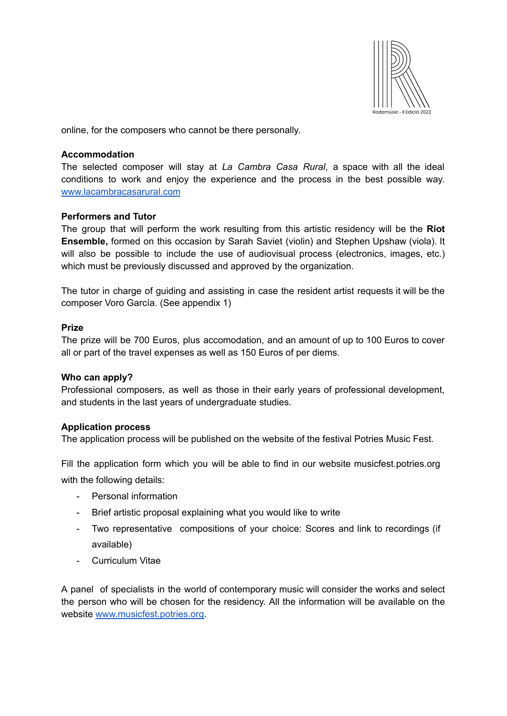

online, for the composers who cannot be there personally.

# **Accommodation**

The selected composer will stay at *La Cambra Casa Rural*, a space with all the ideal conditions to work and enjoy the experience and the process in the best possible way. [www.lacambracasarural.com](http://www.lacambracasarural.com)

# **Performers and Tutor**

The group that will perform the work resulting from this artistic residency will be the **Riot Ensemble,** formed on this occasion by Sarah Saviet (violin) and Stephen Upshaw (viola). It will also be possible to include the use of audiovisual process (electronics, images, etc.) which must be previously discussed and approved by the organization.

The tutor in charge of guiding and assisting in case the resident artist requests it will be the composer Voro García. (See appendix 1)

# **Prize**

The prize will be 700 Euros, plus accomodation, and an amount of up to 100 Euros to cover all or part of the travel expenses as well as 150 Euros of per diems.

### **Who can apply?**

Professional composers, as well as those in their early years of professional development, and students in the last years of undergraduate studies.

### **Application process**

The application process will be published on the website of the festival Potries Music Fest.

Fill the application form which you will be able to find in our website musicfest.potries.org with the following details:

- Personal information
- Brief artistic proposal explaining what you would like to write
- Two representative compositions of your choice: Scores and link to recordings (if available)
- Curriculum Vitae

A panel of specialists in the world of contemporary music will consider the works and select the person who will be chosen for the residency. All the information will be available on the website [www.musicfest.potries.org.](http://www.musicfest.potries.org)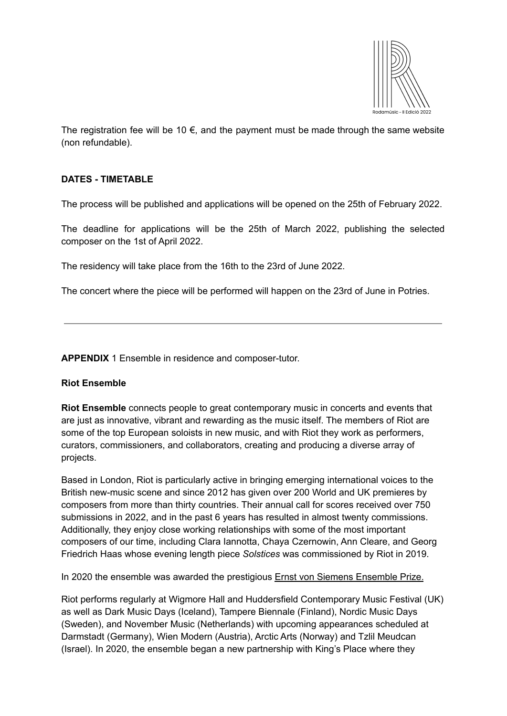

The registration fee will be 10  $\epsilon$ , and the payment must be made through the same website (non refundable).

# **DATES - TIMETABLE**

The process will be published and applications will be opened on the 25th of February 2022.

The deadline for applications will be the 25th of March 2022, publishing the selected composer on the 1st of April 2022.

The residency will take place from the 16th to the 23rd of June 2022.

The concert where the piece will be performed will happen on the 23rd of June in Potries.

**APPENDIX** 1 Ensemble in residence and composer-tutor.

### **Riot Ensemble**

**Riot Ensemble** connects people to great contemporary music in concerts and events that are just as innovative, vibrant and rewarding as the music itself. The members of Riot are some of the top European soloists in new music, and with Riot they work as performers, curators, commissioners, and collaborators, creating and producing a diverse array of projects.

Based in London, Riot is particularly active in bringing emerging international voices to the British new-music scene and since 2012 has given over 200 World and UK premieres by composers from more than thirty countries. Their annual call for scores received over 750 submissions in 2022, and in the past 6 years has resulted in almost twenty commissions. Additionally, they enjoy close working relationships with some of the most important composers of our time, including Clara Iannotta, Chaya Czernowin, Ann Cleare, and Georg Friedrich Haas whose evening length piece *Solstices* was commissioned by Riot in 2019.

In 2020 the ensemble was awarded the prestigious Ernst von Siemens [Ensemble](https://www.evs-musikstiftung.ch/en/node/5018) Prize.

Riot performs regularly at Wigmore Hall and Huddersfield Contemporary Music Festival (UK) as well as Dark Music Days (Iceland), Tampere Biennale (Finland), Nordic Music Days (Sweden), and November Music (Netherlands) with upcoming appearances scheduled at Darmstadt (Germany), Wien Modern (Austria), Arctic Arts (Norway) and Tzlil Meudcan (Israel). In 2020, the ensemble began a new partnership with King's Place where they